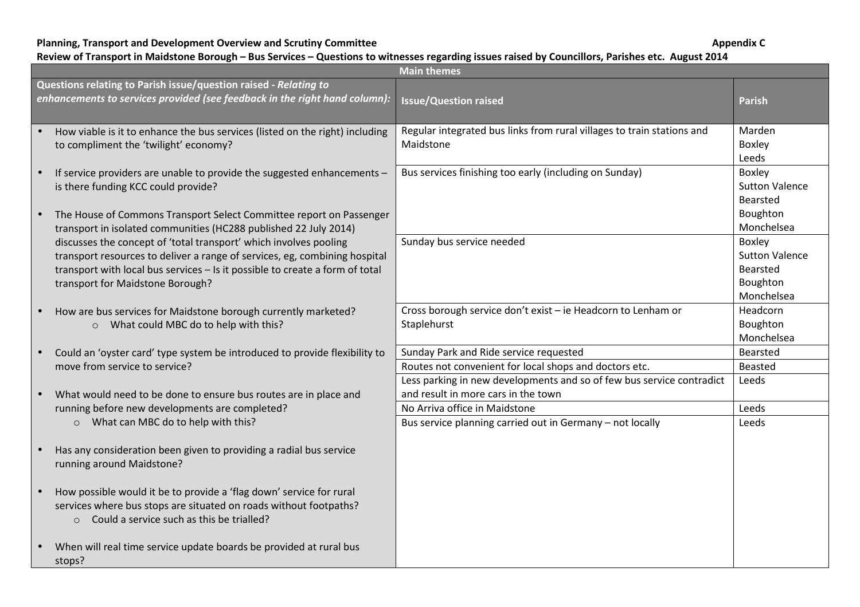**Planning, Transport and Development Overview and Scrutiny Committee** 

**Appendix C** 

## **Review of Transport in Maidstone Borough – Bus Services – Questions to witnesses regarding issues raised by Councillors, Parishes etc. August 2014**

|                                                                                                                                                | <b>Main themes</b>                                                                                                                                                                                                                                                  |                                                                                                                                                                           |                                                                       |  |
|------------------------------------------------------------------------------------------------------------------------------------------------|---------------------------------------------------------------------------------------------------------------------------------------------------------------------------------------------------------------------------------------------------------------------|---------------------------------------------------------------------------------------------------------------------------------------------------------------------------|-----------------------------------------------------------------------|--|
| Questions relating to Parish issue/question raised - Relating to<br>enhancements to services provided (see feedback in the right hand column): |                                                                                                                                                                                                                                                                     | <b>Issue/Question raised</b>                                                                                                                                              | <b>Parish</b>                                                         |  |
|                                                                                                                                                | How viable is it to enhance the bus services (listed on the right) including<br>to compliment the 'twilight' economy?                                                                                                                                               | Regular integrated bus links from rural villages to train stations and<br>Maidstone                                                                                       | Marden<br><b>Boxley</b><br>Leeds                                      |  |
|                                                                                                                                                | If service providers are unable to provide the suggested enhancements -<br>is there funding KCC could provide?                                                                                                                                                      | Bus services finishing too early (including on Sunday)                                                                                                                    | Boxley<br><b>Sutton Valence</b><br>Bearsted                           |  |
|                                                                                                                                                | The House of Commons Transport Select Committee report on Passenger<br>transport in isolated communities (HC288 published 22 July 2014)                                                                                                                             |                                                                                                                                                                           | Boughton<br>Monchelsea                                                |  |
|                                                                                                                                                | discusses the concept of 'total transport' which involves pooling<br>transport resources to deliver a range of services, eg, combining hospital<br>transport with local bus services - Is it possible to create a form of total<br>transport for Maidstone Borough? | Sunday bus service needed                                                                                                                                                 | Boxley<br><b>Sutton Valence</b><br>Bearsted<br>Boughton<br>Monchelsea |  |
|                                                                                                                                                | How are bus services for Maidstone borough currently marketed?<br>o What could MBC do to help with this?                                                                                                                                                            | Cross borough service don't exist - ie Headcorn to Lenham or<br>Staplehurst                                                                                               | Headcorn<br>Boughton<br>Monchelsea                                    |  |
|                                                                                                                                                | Could an 'oyster card' type system be introduced to provide flexibility to<br>move from service to service?                                                                                                                                                         | Sunday Park and Ride service requested<br>Routes not convenient for local shops and doctors etc.<br>Less parking in new developments and so of few bus service contradict | Bearsted<br>Beasted<br>Leeds                                          |  |
|                                                                                                                                                | What would need to be done to ensure bus routes are in place and<br>running before new developments are completed?<br>o What can MBC do to help with this?                                                                                                          | and result in more cars in the town<br>No Arriva office in Maidstone<br>Bus service planning carried out in Germany - not locally                                         | Leeds<br>Leeds                                                        |  |
|                                                                                                                                                | Has any consideration been given to providing a radial bus service<br>running around Maidstone?                                                                                                                                                                     |                                                                                                                                                                           |                                                                       |  |
|                                                                                                                                                | How possible would it be to provide a 'flag down' service for rural<br>services where bus stops are situated on roads without footpaths?<br>o Could a service such as this be trialled?                                                                             |                                                                                                                                                                           |                                                                       |  |
|                                                                                                                                                | When will real time service update boards be provided at rural bus<br>stops?                                                                                                                                                                                        |                                                                                                                                                                           |                                                                       |  |